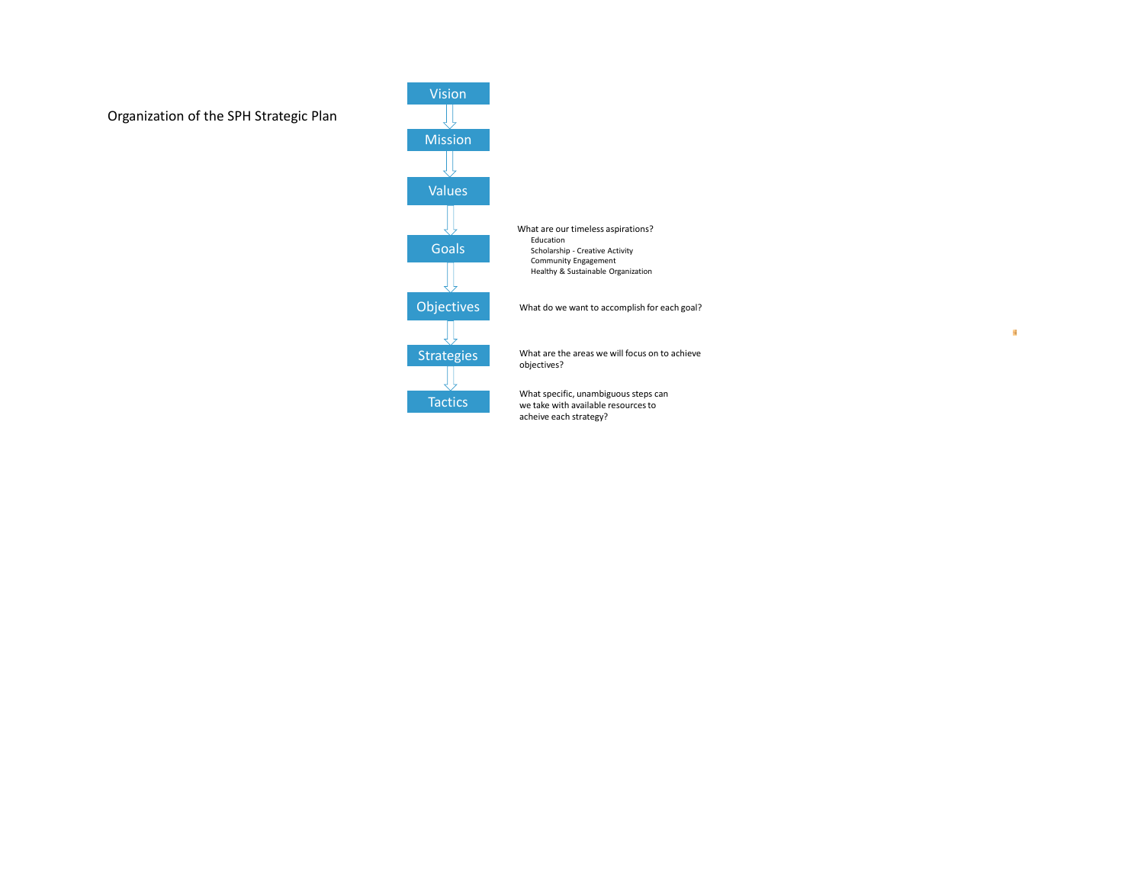

What are our timeless aspirations? Education Scholarship - Creative Activity Community Engagement Healthy & Sustainable Organization

What do we want to accomplish for each goal?

What are the areas we will focus on to achieve objectives?

What specific, unambiguous steps can we take with available resources to acheive each strategy?

编

# Organization of the SPH Strategic Plan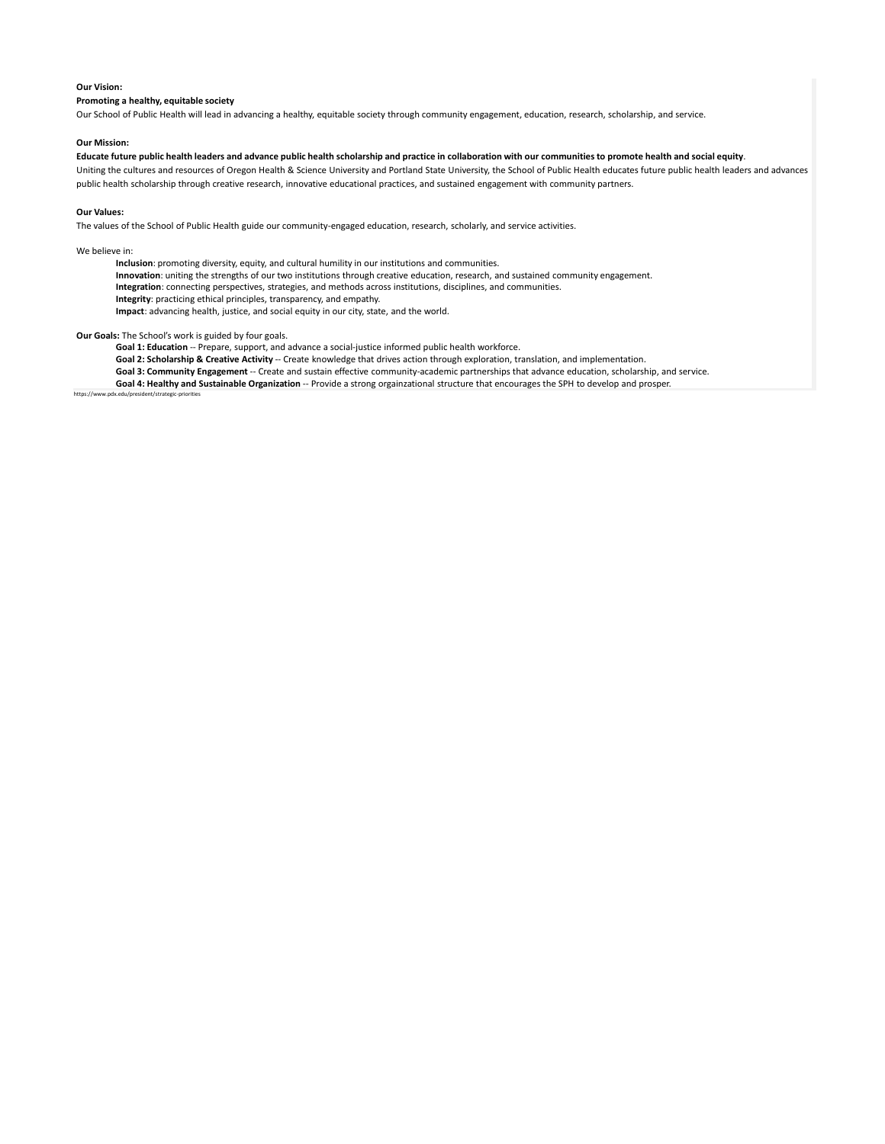#### https://www.pdx.edu/president/strategic-priorities

#### **Our Vision:**

### **Promoting a healthy, equitable society**

Our School of Public Health will lead in advancing a healthy, equitable society through community engagement, education, research, scholarship, and service.

#### **Our Mission:**

**Educate future public health leaders and advance public health scholarship and practice in collaboration with our communitiesto promote health and social equity**. Uniting the cultures and resources of Oregon Health & Science University and Portland State University, the School of Public Health educates future public health leaders and advances public health scholarship through creative research, innovative educational practices, and sustained engagement with community partners.

#### **Our Values:**

The values of the School of Public Health guide our community-engaged education, research, scholarly, and service activities.

### We believe in:

**Inclusion**: promoting diversity, equity, and cultural humility in our institutions and communities.

**Innovation**: uniting the strengths of our two institutions through creative education, research, and sustained community engagement.

**Integration**: connecting perspectives, strategies, and methods across institutions, disciplines, and communities.

**Integrity**: practicing ethical principles, transparency, and empathy.

**Impact**: advancing health, justice, and social equity in our city, state, and the world.

## **Our Goals:** The School's work is guided by four goals.

**Goal 1: Education** -- Prepare, support, and advance a social-justice informed public health workforce.

**Goal 2: Scholarship & Creative Activity** -- Create knowledge that drives action through exploration, translation, and implementation.

**Goal 3: Community Engagement** -- Create and sustain effective community-academic partnerships that advance education, scholarship, and service.

**Goal 4: Healthy and Sustainable Organization** -- Provide a strong orgainzational structure that encourages the SPH to develop and prosper.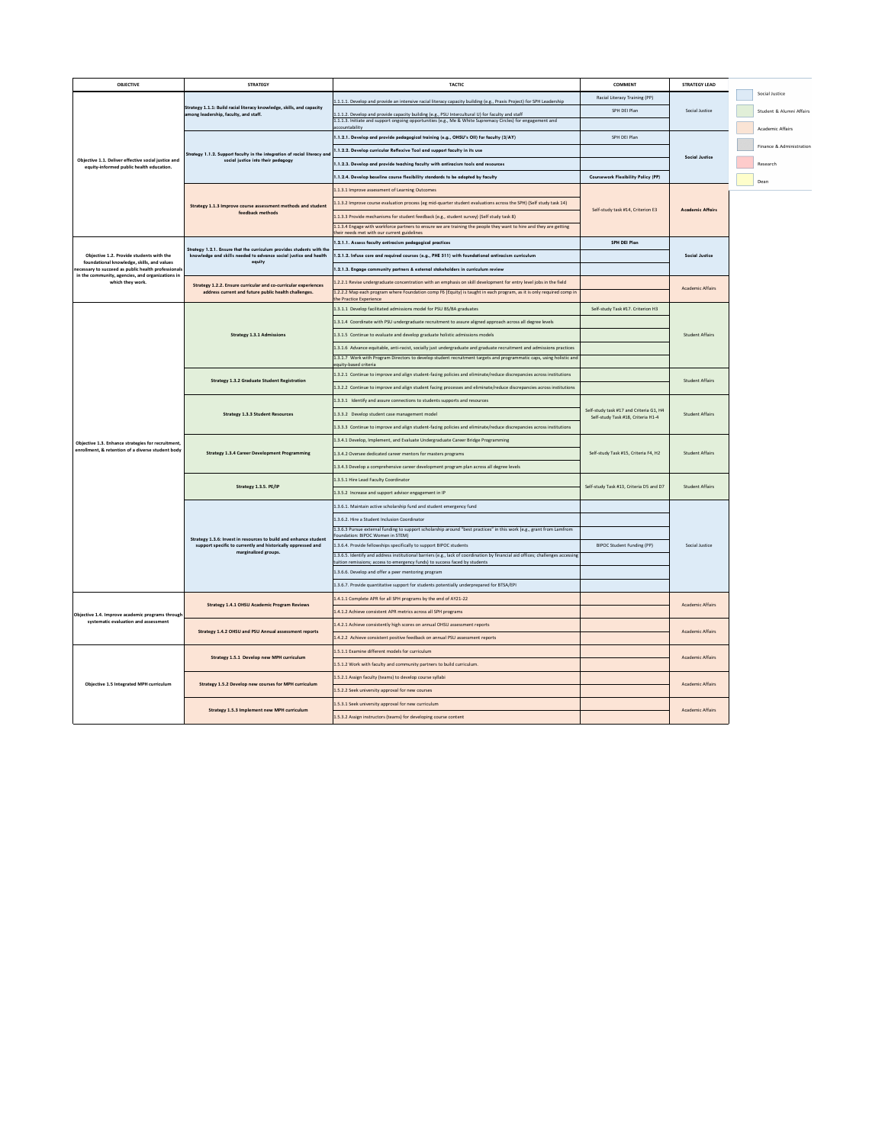| <b>OBJECTIVE</b>                                                                                        | <b>STRATEGY</b>                                                                                                                           | <b>TACTIC</b>                                                                                                                                                                                                          | <b>COMMENT</b>                                                                | <b>STRATEGY LEAD</b>    |                          |
|---------------------------------------------------------------------------------------------------------|-------------------------------------------------------------------------------------------------------------------------------------------|------------------------------------------------------------------------------------------------------------------------------------------------------------------------------------------------------------------------|-------------------------------------------------------------------------------|-------------------------|--------------------------|
| Objective 1.1. Deliver effective social justice and<br>equity-informed public health education.         | Strategy 1.1.1: Build racial literacy knowledge, skills, and capacity<br>among leadership, faculty, and staff.                            | 1.1.1.1. Develop and provide an intensive racial literacy capacity building (e.g., Praxis Project) for SPH Leadership                                                                                                  | Racial Literacy Training (PP)                                                 |                         | Social Justice           |
|                                                                                                         |                                                                                                                                           | 1.1.1.2. Develop and provide capacity building (e.g., PSU Intercultural U) for faculty and staff                                                                                                                       | SPH DEI Plan                                                                  | Social Justice          | Student & Alumni Affairs |
|                                                                                                         |                                                                                                                                           | 1.1.1.3. Initiate and support ongoing opportunities (e.g., Me & White Supremacy Circles) for engagement and<br>accountability                                                                                          |                                                                               |                         | Academic Affairs         |
|                                                                                                         |                                                                                                                                           | 1.1.2.1. Develop and provide pedagogical training (e.g., OHSU's OII) for faculty (3/AY)                                                                                                                                | SPH DEI Plan                                                                  |                         |                          |
|                                                                                                         | Strategy 1.1.2. Support faculty in the integration of racial literacy and                                                                 | 1.1.2.2. Develop curricular Reflexive Tool and support faculty in its use                                                                                                                                              |                                                                               |                         | Finance & Administration |
|                                                                                                         | social justice into their pedagogy                                                                                                        | 1.1.2.3. Develop and provide teaching faculty with antiracism tools and resources                                                                                                                                      |                                                                               | <b>Social Justice</b>   | Research                 |
|                                                                                                         |                                                                                                                                           | 1.1.2.4. Develop baseline course flexibility standards to be adopted by faculty                                                                                                                                        | <b>Coursework Flexibility Policy (PP)</b>                                     |                         | Dean                     |
|                                                                                                         |                                                                                                                                           | 1.1.3.1 Improve assessment of Learning Outcomes                                                                                                                                                                        |                                                                               |                         |                          |
|                                                                                                         | Strategy 1.1.3 Improve course assessment methods and student                                                                              | 1.1.3.2 Improve course evaluation process (eg mid-quarter student evaluations across the SPH) (Self study task 14)                                                                                                     |                                                                               | <b>Academic Affairs</b> |                          |
|                                                                                                         | feedback methods                                                                                                                          | 1.1.3.3 Provide mechanisms for student feedback (e.g., student survey) (Self study task 8)                                                                                                                             | Self-study task #14, Criterion E3                                             |                         |                          |
|                                                                                                         |                                                                                                                                           | 1.1.3.4 Engage with workforce partners to ensure we are training the people they want to hire and they are getting<br>their needs met with our current guidelines                                                      |                                                                               |                         |                          |
|                                                                                                         |                                                                                                                                           | 1.2.1.1. Assess faculty antiracism pedagogical practices                                                                                                                                                               | <b>SPH DEI Plan</b>                                                           |                         |                          |
| Objective 1.2. Provide students with the                                                                | Strategy 1.2.1. Ensure that the curriculum provides students with the<br>knowledge and skills needed to advance social justice and health | 1.2.1.2. Infuse core and required courses (e.g., PHE 511) with foundational antiracism curriculum                                                                                                                      |                                                                               | <b>Social Justice</b>   |                          |
| foundational knowledge, skills, and values<br>necessary to succeed as public health professionals       | equity                                                                                                                                    | 1.2.1.3. Engage community partners & external stakeholders in curriculum review                                                                                                                                        |                                                                               |                         |                          |
| in the community, agencies, and organizations in<br>which they work.                                    | <b>Strategy 1.2.2. Ensure curricular and co-curricular experiences</b>                                                                    | 1.2.2.1 Revise undergraduate concentration with an emphasis on skill development for entry level jobs in the field                                                                                                     |                                                                               |                         |                          |
|                                                                                                         | address current and future public health challenges.                                                                                      | 1.2.2.2 Map each program where Foundation comp F6 (Equity) is taught in each program, as it is only required comp in<br>the Practice Experience                                                                        |                                                                               | <b>Academic Affairs</b> |                          |
|                                                                                                         |                                                                                                                                           | 1.3.1.1 Develop facilitated admissions model for PSU BS/BA graduates                                                                                                                                                   | Self-study Task #17. Criterion H3                                             |                         |                          |
|                                                                                                         |                                                                                                                                           | 1.3.1.4 Coordinate with PSU undergraduate recruitment to assure aligned approach across all degree levels                                                                                                              |                                                                               |                         |                          |
|                                                                                                         | <b>Strategy 1.3.1 Admissions</b>                                                                                                          | 1.3.1.5 Continue to evaluate and develop graduate holistic admissions models                                                                                                                                           |                                                                               | <b>Student Affairs</b>  |                          |
|                                                                                                         |                                                                                                                                           | 1.3.1.6 Advance equitable, anti-racist, socially just undergraduate and graduate recruitment and admissions practices                                                                                                  |                                                                               |                         |                          |
|                                                                                                         |                                                                                                                                           | 1.3.1.7 Work with Program Directors to develop student recruitment targets and programmatic caps, using holistic and<br>equity-based criteria                                                                          |                                                                               |                         |                          |
|                                                                                                         |                                                                                                                                           | 1.3.2.1 Continue to improve and align student-facing policies and eliminate/reduce discrepancies across institutions                                                                                                   |                                                                               |                         |                          |
|                                                                                                         | <b>Strategy 1.3.2 Graduate Student Registration</b>                                                                                       | 1.3.2.2 Continue to improve and align student facing processes and eliminate/reduce discrepancies across institutions                                                                                                  |                                                                               | <b>Student Affairs</b>  |                          |
|                                                                                                         |                                                                                                                                           | 1.3.3.1 Identify and assure connections to students supports and resources                                                                                                                                             |                                                                               |                         |                          |
|                                                                                                         | <b>Strategy 1.3.3 Student Resources</b>                                                                                                   | 1.3.3.2 Develop student case management model                                                                                                                                                                          | Self-study task #17 and Criteria G1, H4<br>Self-study Task #18, Criteria H1-4 | <b>Student Affairs</b>  |                          |
|                                                                                                         |                                                                                                                                           | 1.3.3.3 Continue to improve and align student-facing policies and eliminate/reduce discrepancies across institutions                                                                                                   |                                                                               |                         |                          |
|                                                                                                         |                                                                                                                                           | 1.3.4.1 Develop, Implement, and Evaluate Undergraduate Career Bridge Programming                                                                                                                                       |                                                                               |                         |                          |
| Objective 1.3. Enhance strategies for recruitment,<br>enrollment, & retention of a diverse student body | <b>Strategy 1.3.4 Career Development Programming</b>                                                                                      | 1.3.4.2 Oversee dedicated career mentors for masters programs                                                                                                                                                          | Self-study Task #15, Criteria F4, H2                                          | <b>Student Affairs</b>  |                          |
|                                                                                                         |                                                                                                                                           | 1.3.4.3 Develop a comprehensive career development program plan across all degree levels                                                                                                                               |                                                                               |                         |                          |
|                                                                                                         |                                                                                                                                           | 1.3.5.1 Hire Lead Faculty Coordinator                                                                                                                                                                                  |                                                                               |                         |                          |
|                                                                                                         | Strategy 1.3.5. PE/IP                                                                                                                     | 1.3.5.2 Increase and support advisor engagement in IP                                                                                                                                                                  | Self-study Task #13, Criteria D5 and D7                                       | <b>Student Affairs</b>  |                          |
|                                                                                                         |                                                                                                                                           | 1.3.6.1. Maintain active scholarship fund and student emergency fund                                                                                                                                                   |                                                                               |                         |                          |
|                                                                                                         | Strategy 1.3.6: Invest in resources to build and enhance student<br>support specific to currently and historically oppressed and          | 1.3.6.2. Hire a Student Inclusion Coordinator                                                                                                                                                                          |                                                                               |                         |                          |
|                                                                                                         |                                                                                                                                           | 1.3.6.3 Pursue external funding to support scholarship around "best practices" in this work (e.g., grant from Lamfrom<br>Foundation: BIPOC Women in STEM)                                                              |                                                                               |                         |                          |
|                                                                                                         |                                                                                                                                           | 1.3.6.4. Provide fellowships specifically to support BIPOC students                                                                                                                                                    | BIPOC Student Funding (PP)                                                    | Social Justice          |                          |
|                                                                                                         | marginalized groups.                                                                                                                      | 1.3.6.5. Identify and address institutional barriers (e.g., lack of coordination by financial aid offices; challenges accessing $\vert$<br>tuition remissions; access to emergency funds) to success faced by students |                                                                               |                         |                          |
|                                                                                                         |                                                                                                                                           | 1.3.6.6. Develop and offer a peer mentoring program                                                                                                                                                                    |                                                                               |                         |                          |
|                                                                                                         |                                                                                                                                           | 1.3.6.7. Provide quantitative support for students potentially underprepared for BTSA/EPI                                                                                                                              |                                                                               |                         |                          |
|                                                                                                         |                                                                                                                                           | 1.4.1.1 Complete APR for all SPH programs by the end of AY21-22                                                                                                                                                        |                                                                               |                         |                          |
| Objective 1.4. Improve academic programs through<br>systematic evaluation and assessment                | <b>Strategy 1.4.1 OHSU Academic Program Reviews</b>                                                                                       | 1.4.1.2 Achieve consistent APR metrics across all SPH programs                                                                                                                                                         |                                                                               | <b>Academic Affairs</b> |                          |
|                                                                                                         |                                                                                                                                           | 1.4.2.1 Achieve consistently high scores on annual OHSU assessment reports                                                                                                                                             |                                                                               |                         |                          |
|                                                                                                         | <b>Strategy 1.4.2 OHSU and PSU Annual assessment reports</b>                                                                              | 1.4.2.2 Achieve consistent positive feedback on annual PSU assessment reports                                                                                                                                          |                                                                               | <b>Academic Affairs</b> |                          |
| <b>Objective 1.5 Integrated MPH curriculum</b>                                                          |                                                                                                                                           | 1.5.1.1 Examine different models for curriculum                                                                                                                                                                        |                                                                               |                         |                          |
|                                                                                                         | <b>Strategy 1.5.1 Develop new MPH curriculum</b>                                                                                          | 1.5.1.2 Work with faculty and community partners to build curriculum.                                                                                                                                                  |                                                                               | <b>Academic Affairs</b> |                          |
|                                                                                                         |                                                                                                                                           | 1.5.2.1 Assign faculty (teams) to develop course syllabi                                                                                                                                                               |                                                                               |                         |                          |
|                                                                                                         | <b>Strategy 1.5.2 Develop new courses for MPH curriculum</b>                                                                              | 1.5.2.2 Seek university approval for new courses                                                                                                                                                                       |                                                                               | <b>Academic Affairs</b> |                          |
|                                                                                                         |                                                                                                                                           | 1.5.3.1 Seek university approval for new curriculum                                                                                                                                                                    |                                                                               |                         |                          |
|                                                                                                         | <b>Strategy 1.5.3 Implement new MPH curriculum</b>                                                                                        | 1.5.3.2 Assign instructors (teams) for developing course content                                                                                                                                                       |                                                                               | <b>Academic Affairs</b> |                          |
|                                                                                                         |                                                                                                                                           |                                                                                                                                                                                                                        |                                                                               |                         |                          |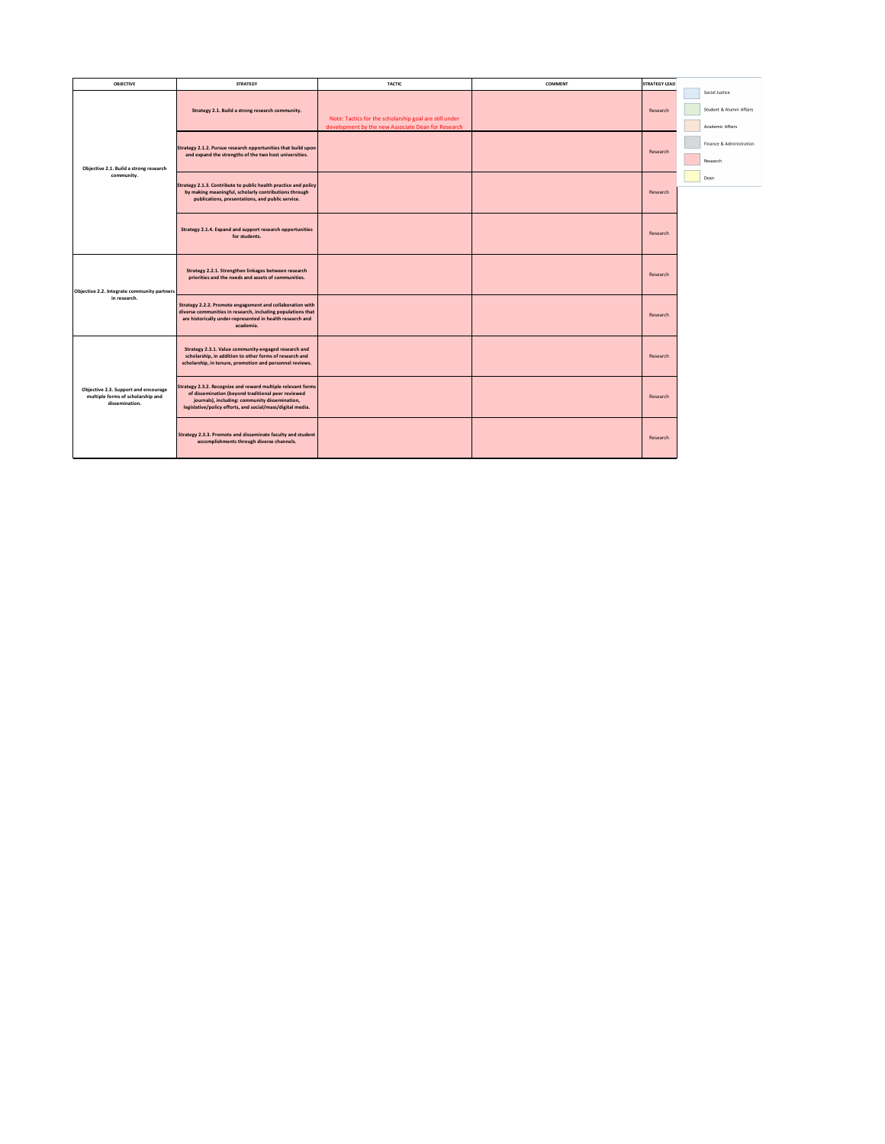| <b>OBJECTIVE</b>                                                                                   | <b>STRATEGY</b>                                                                                                                                                                                                                    | <b>TACTIC</b>                                                                                                | <b>COMMENT</b> | <b>STRATEGY LEAD</b> |                                                                |
|----------------------------------------------------------------------------------------------------|------------------------------------------------------------------------------------------------------------------------------------------------------------------------------------------------------------------------------------|--------------------------------------------------------------------------------------------------------------|----------------|----------------------|----------------------------------------------------------------|
| Objective 2.1. Build a strong research<br>community.                                               | Strategy 2.1. Build a strong research community.                                                                                                                                                                                   | Note: Tactics for the scholarship goal are still under<br>development by the new Associate Dean for Research |                | Research             | Social Justice<br>Student & Alumni Affairs<br>Academic Affairs |
|                                                                                                    | Strategy 2.1.2. Pursue research opportunities that build upon<br>and expand the strengths of the two host universities.                                                                                                            |                                                                                                              |                | Research             | Finance & Administration<br>Research                           |
|                                                                                                    | Strategy 2.1.3. Contribute to public health practice and policy<br>by making meaningful, scholarly contributions through<br>publications, presentations, and public service.                                                       |                                                                                                              |                | Research             | Dean                                                           |
|                                                                                                    | <b>Strategy 2.1.4. Expand and support research opportunities</b><br>for students.                                                                                                                                                  |                                                                                                              |                | Research             |                                                                |
| Objective 2.2. Integrate community partners<br>in research.                                        | Strategy 2.2.1. Strengthen linkages between research<br>priorities and the needs and assets of communities.                                                                                                                        |                                                                                                              |                | Research             |                                                                |
|                                                                                                    | Strategy 2.2.2. Promote engagement and collaboration with<br>diverse communities in research, including populations that<br>are historically under-represented in health research and<br>academia.                                 |                                                                                                              |                | Research             |                                                                |
| <b>Objective 2.3. Support and encourage</b><br>multiple forms of scholarship and<br>dissemination. | Strategy 2.3.1. Value community-engaged research and<br>scholarship, in addition to other forms of research and<br>scholarship, in tenure, promotion and personnel reviews.                                                        |                                                                                                              |                | Research             |                                                                |
|                                                                                                    | Strategy 2.3.2. Recognize and reward multiple relevant forms<br>of dissemination (beyond traditional peer reviewed<br>journals), including: community dissemination,<br>legislative/policy efforts, and social/mass/digital media. |                                                                                                              |                | Research             |                                                                |
|                                                                                                    | Strategy 2.3.3. Promote and disseminate faculty and student $ $<br>accomplishments through diverse channels.                                                                                                                       |                                                                                                              |                | Research             |                                                                |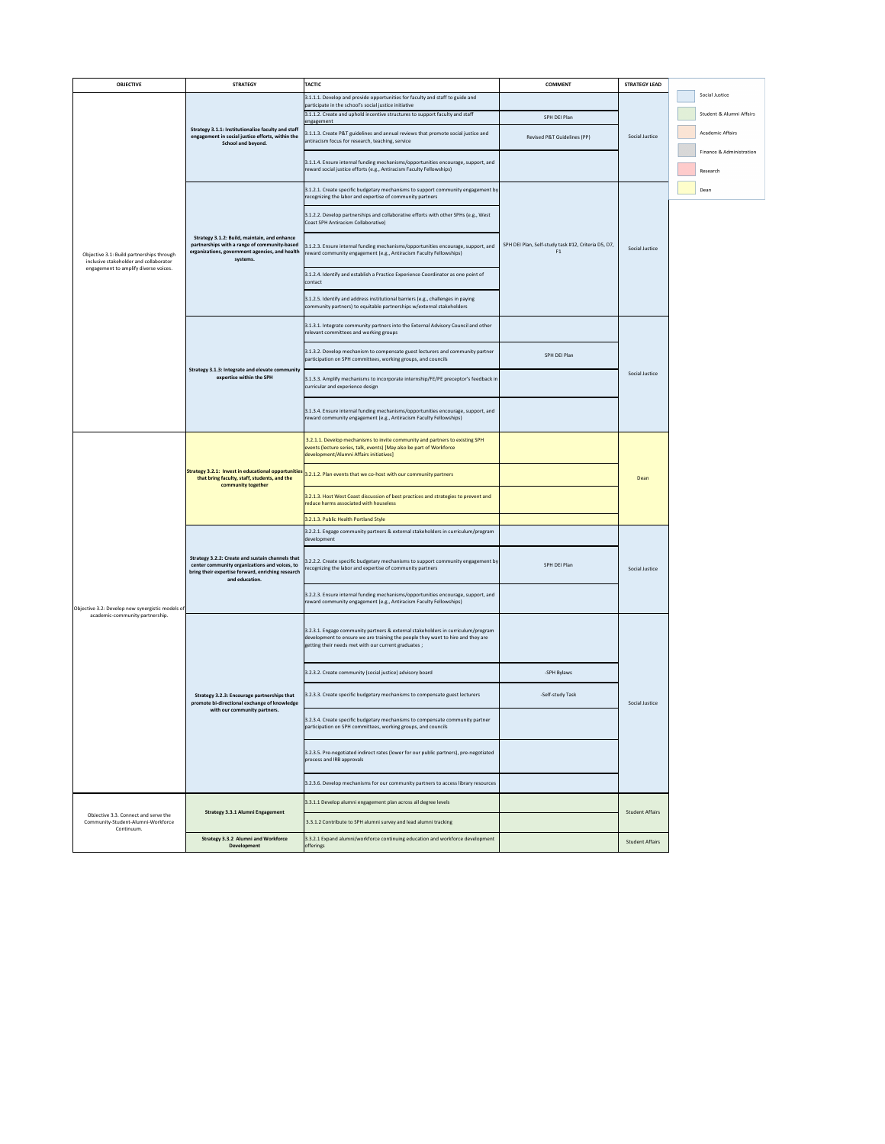| <b>OBJECTIVE</b>                                                                    | <b>STRATEGY</b>                                                                                                                                                          | <b>TACTIC</b>                                                                                                                                                                                                              | <b>COMMENT</b>                                            | <b>STRATEGY LEAD</b>   |                          |
|-------------------------------------------------------------------------------------|--------------------------------------------------------------------------------------------------------------------------------------------------------------------------|----------------------------------------------------------------------------------------------------------------------------------------------------------------------------------------------------------------------------|-----------------------------------------------------------|------------------------|--------------------------|
| Objective 3.1: Build partnerships through<br>inclusive stakeholder and collaborator |                                                                                                                                                                          | 3.1.1.1. Develop and provide opportunities for faculty and staff to guide and                                                                                                                                              |                                                           |                        | Social Justice           |
|                                                                                     |                                                                                                                                                                          | participate in the school's social justice initiative<br>3.1.1.2. Create and uphold incentive structures to support faculty and staff                                                                                      | SPH DEI Plan                                              |                        | Student & Alumni Affairs |
|                                                                                     | Strategy 3.1.1: Institutionalize faculty and staff                                                                                                                       | engagement                                                                                                                                                                                                                 |                                                           |                        |                          |
|                                                                                     | engagement in social justice efforts, within the<br>School and beyond.                                                                                                   | 3.1.1.3. Create P&T guidelines and annual reviews that promote social justice and<br>antiracism focus for research, teaching, service                                                                                      | Revised P&T Guidelines (PP)                               | Social Justice         |                          |
|                                                                                     |                                                                                                                                                                          |                                                                                                                                                                                                                            |                                                           |                        | Finance & Administration |
|                                                                                     |                                                                                                                                                                          | 3.1.1.4. Ensure internal funding mechanisms/opportunities encourage, support, and<br>reward social justice efforts (e.g., Antiracism Faculty Fellowships)                                                                  |                                                           |                        | Research                 |
|                                                                                     | Strategy 3.1.2: Build, maintain, and enhance<br>partnerships with a range of community-based<br>organizations, government agencies, and health<br>systems.               | $\vert$ 3.1.2.1. Create specific budgetary mechanisms to support community engagement by<br>recognizing the labor and expertise of community partners                                                                      |                                                           |                        | Dean                     |
|                                                                                     |                                                                                                                                                                          | 3.1.2.2. Develop partnerships and collaborative efforts with other SPHs (e.g., West<br>Coast SPH Antiracism Collaborative)                                                                                                 | SPH DEI Plan, Self-study task #12, Criteria D5, D7,<br>F1 | Social Justice         |                          |
|                                                                                     |                                                                                                                                                                          | 3.1.2.3. Ensure internal funding mechanisms/opportunities encourage, support, and<br>reward community engagement (e.g., Antiracism Faculty Fellowships)                                                                    |                                                           |                        |                          |
| engagement to amplify diverse voices.                                               |                                                                                                                                                                          | 3.1.2.4. Identify and establish a Practice Experience Coordinator as one point of<br>contact                                                                                                                               |                                                           |                        |                          |
|                                                                                     |                                                                                                                                                                          | 3.1.2.5. Identify and address institutional barriers (e.g., challenges in paying<br>community partners) to equitable partnerships w/external stakeholders                                                                  |                                                           |                        |                          |
|                                                                                     |                                                                                                                                                                          | 3.1.3.1. Integrate community partners into the External Advisory Council and other<br>relevant committees and working groups                                                                                               |                                                           |                        |                          |
|                                                                                     |                                                                                                                                                                          | 3.1.3.2. Develop mechanism to compensate guest lecturers and community partner<br>participation on SPH committees, working groups, and councils                                                                            | SPH DEI Plan                                              |                        |                          |
|                                                                                     | Strategy 3.1.3: Integrate and elevate community<br>expertise within the SPH                                                                                              | 3.1.3.3. Amplify mechanisms to incorporate internship/FE/PE preceptor's feedback in<br>curricular and experience design                                                                                                    |                                                           | Social Justice         |                          |
|                                                                                     |                                                                                                                                                                          | 3.1.3.4. Ensure internal funding mechanisms/opportunities encourage, support, and<br>reward community engagement (e.g., Antiracism Faculty Fellowships)                                                                    |                                                           |                        |                          |
|                                                                                     |                                                                                                                                                                          | 3.2.1.1. Develop mechanisms to invite community and partners to existing SPH<br>events (lecture series, talk, events) [May also be part of Workforce<br>development/Alumni Affairs initiatives]                            |                                                           |                        |                          |
|                                                                                     | that bring faculty, staff, students, and the<br>community together                                                                                                       | <b>Strategy 3.2.1: Invest in educational opportunities</b> $\Big $ 3.2.1.2. Plan events that we co-host with our community partners                                                                                        |                                                           | Dean                   |                          |
|                                                                                     |                                                                                                                                                                          | 3.2.1.3. Host West Coast discussion of best practices and strategies to prevent and<br>reduce harms associated with houseless                                                                                              |                                                           |                        |                          |
|                                                                                     |                                                                                                                                                                          | $3.2.1.3$ . Public Health Portland Style                                                                                                                                                                                   |                                                           |                        |                          |
|                                                                                     | Strategy 3.2.2: Create and sustain channels that<br>center community organizations and voices, to<br>bring their expertise forward, enriching research<br>and education. | 3.2.2.1. Engage community partners & external stakeholders in curriculum/program<br>development                                                                                                                            |                                                           |                        |                          |
| Objective 3.2: Develop new synergistic models of<br>academic-community partnership. |                                                                                                                                                                          | $\vert$ 3.2.2.2. Create specific budgetary mechanisms to support community engagement by<br>recognizing the labor and expertise of community partners                                                                      | SPH DEI Plan                                              | Social Justice         |                          |
|                                                                                     |                                                                                                                                                                          | 3.2.2.3. Ensure internal funding mechanisms/opportunities encourage, support, and<br>reward community engagement (e.g., Antiracism Faculty Fellowships)                                                                    |                                                           |                        |                          |
|                                                                                     |                                                                                                                                                                          | 3.2.3.1. Engage community partners & external stakeholders in curriculum/program<br>development to ensure we are training the people they want to hire and they are<br>getting their needs met with our current graduates; |                                                           |                        |                          |
|                                                                                     |                                                                                                                                                                          | 3.2.3.2. Create community (social justice) advisory board                                                                                                                                                                  | -SPH Bylaws                                               |                        | Academic Affairs         |
|                                                                                     | Strategy 3.2.3: Encourage partnerships that<br>promote bi-directional exchange of knowledge                                                                              | 3.2.3.3. Create specific budgetary mechanisms to compensate guest lecturers                                                                                                                                                | -Self-study Task                                          | Social Justice         |                          |
|                                                                                     | with our community partners.                                                                                                                                             | 3.2.3.4. Create specific budgetary mechanisms to compensate community partner<br>participation on SPH committees, working groups, and councils                                                                             |                                                           |                        |                          |
|                                                                                     |                                                                                                                                                                          | 3.2.3.5. Pre-negotiated indirect rates (lower for our public partners), pre-negotiated<br>process and IRB approvals                                                                                                        |                                                           |                        |                          |
|                                                                                     |                                                                                                                                                                          | 3.2.3.6. Develop mechanisms for our community partners to access library resources                                                                                                                                         |                                                           |                        |                          |
| ObJective 3.3. Connect and serve the                                                | <b>Strategy 3.3.1 Alumni Engagement</b>                                                                                                                                  | 3.3.1.1 Develop alumni engagement plan across all degree levels                                                                                                                                                            |                                                           | <b>Student Affairs</b> |                          |
| Community-Student-Alumni-Workforce<br>Continuum.                                    |                                                                                                                                                                          | 3.3.1.2 Contribute to SPH alumni survey and lead alumni tracking                                                                                                                                                           |                                                           |                        |                          |
|                                                                                     | <b>Strategy 3.3.2 Alumni and Workforce</b><br><b>Development</b>                                                                                                         | 3.3.2.1 Expand alumni/workforce continuing education and workforce development<br><b>offerings</b>                                                                                                                         |                                                           | <b>Student Affairs</b> |                          |